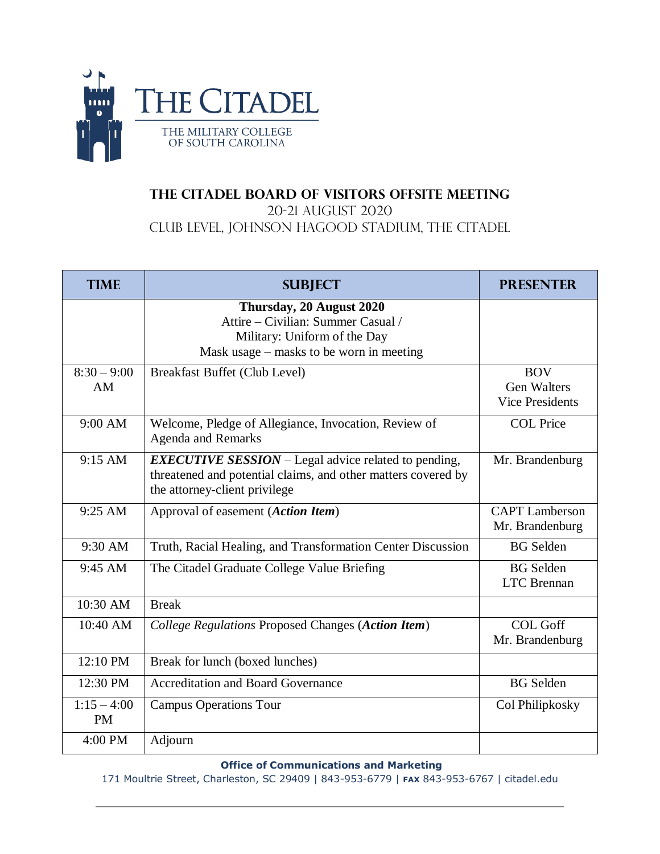

## **The Citadel Board of Visitors Offsite Meeting**

20-21 August 2020

Club Level, Johnson Hagood Stadium, The Citadel

| <b>TIME</b>                | <b>SUBJECT</b>                                                                                                                                                | <b>PRESENTER</b>                                           |
|----------------------------|---------------------------------------------------------------------------------------------------------------------------------------------------------------|------------------------------------------------------------|
|                            | Thursday, 20 August 2020<br>Attire – Civilian: Summer Casual /<br>Military: Uniform of the Day<br>Mask usage – masks to be worn in meeting                    |                                                            |
| $8:30 - 9:00$<br>AM        | <b>Breakfast Buffet (Club Level)</b>                                                                                                                          | <b>BOV</b><br><b>Gen Walters</b><br><b>Vice Presidents</b> |
| 9:00 AM                    | Welcome, Pledge of Allegiance, Invocation, Review of<br><b>Agenda and Remarks</b>                                                                             | <b>COL Price</b>                                           |
| 9:15 AM                    | <b>EXECUTIVE SESSION</b> – Legal advice related to pending,<br>threatened and potential claims, and other matters covered by<br>the attorney-client privilege | Mr. Brandenburg                                            |
| 9:25 AM                    | Approval of easement (Action Item)                                                                                                                            | <b>CAPT</b> Lamberson<br>Mr. Brandenburg                   |
| 9:30 AM                    | Truth, Racial Healing, and Transformation Center Discussion                                                                                                   | <b>BG</b> Selden                                           |
| 9:45 AM                    | The Citadel Graduate College Value Briefing                                                                                                                   | <b>BG</b> Selden<br><b>LTC</b> Brennan                     |
| $10:30$ AM                 | <b>Break</b>                                                                                                                                                  |                                                            |
| 10:40 AM                   | College Regulations Proposed Changes (Action Item)                                                                                                            | <b>COL Goff</b><br>Mr. Brandenburg                         |
| 12:10 PM                   | Break for lunch (boxed lunches)                                                                                                                               |                                                            |
| 12:30 PM                   | <b>Accreditation and Board Governance</b>                                                                                                                     | <b>BG</b> Selden                                           |
| $1:15 - 4:00$<br><b>PM</b> | <b>Campus Operations Tour</b>                                                                                                                                 | Col Philipkosky                                            |
| 4:00 PM                    | Adjourn                                                                                                                                                       |                                                            |

## **Office of Communications and Marketing**

171 Moultrie Street, Charleston, SC 29409 | 843-953-6779 | **FAX** 843-953-6767 | citadel.edu